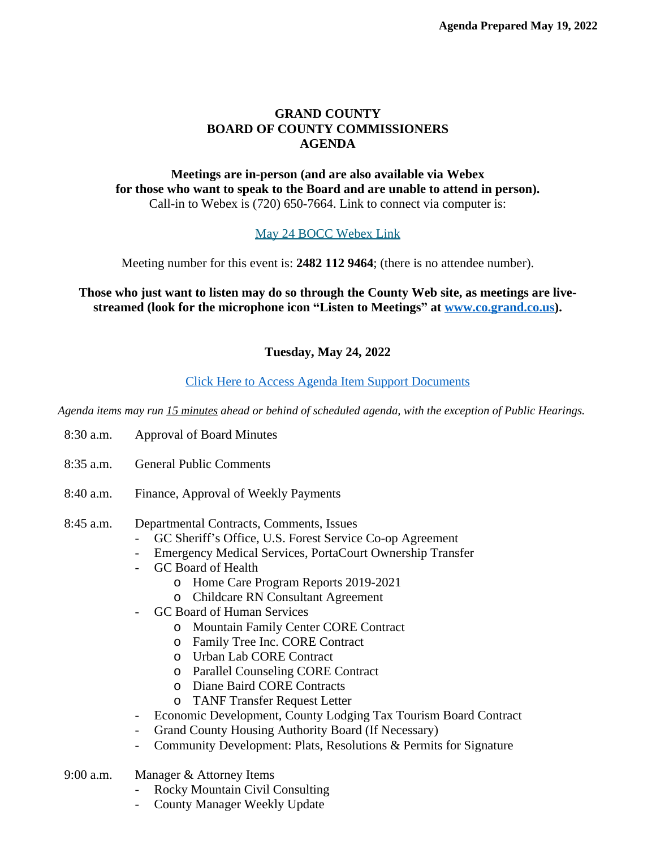## **GRAND COUNTY BOARD OF COUNTY COMMISSIONERS AGENDA**

## **Meetings are in-person (and are also available via Webex for those who want to speak to the Board and are unable to attend in person).** Call-in to Webex is (720) 650-7664. Link to connect via computer is:

## [May 24 BOCC Webex Link](https://grandcounty.webex.com/grandcounty/j.php?MTID=md280e6e078609784d42af7dcf1d9c119)

[Meeting number for this event is:](https://grandcounty.webex.com/grandcounty/j.php?MTID=md280e6e078609784d42af7dcf1d9c119) **[2482 112 9464](https://grandcounty.webex.com/grandcounty/j.php?MTID=md280e6e078609784d42af7dcf1d9c119)**[; \(there is no attendee number\).](https://grandcounty.webex.com/grandcounty/j.php?MTID=md280e6e078609784d42af7dcf1d9c119)

## **[Those who just want to listen may do so through the County Web site, as meetings are live](https://grandcounty.webex.com/grandcounty/j.php?MTID=md280e6e078609784d42af7dcf1d9c119)[streamed \(look for the microphone icon](https://grandcounty.webex.com/grandcounty/j.php?MTID=md280e6e078609784d42af7dcf1d9c119) "Listen to Meetings" [at](https://grandcounty.webex.com/grandcounty/j.php?MTID=md280e6e078609784d42af7dcf1d9c119) [www.co.grand.co.us\)](http://www.co.grand.co.us).**

# **Tuesday, May 24, 2022**

## [Click Here to Access Agenda Item Support Documents](https://grandco.box.com/v/boccsupporteddocuments)

*[Agenda items may run 15 minutes ahead or behind of scheduled agenda, with the exception of Public Hearings.](https://grandco.box.com/v/boccsupporteddocuments)*

- [8:30 a.m.](https://grandco.box.com/v/boccsupporteddocuments) [Approval of Board Minutes](https://grandco.box.com/v/boccsupporteddocuments)
- [8:35 a.m.](https://grandco.box.com/v/boccsupporteddocuments) [General Public Comments](https://grandco.box.com/v/boccsupporteddocuments)
- [8:40 a.m.](https://grandco.box.com/v/boccsupporteddocuments) [Finance, Approval of Weekly Payments](https://grandco.box.com/v/boccsupporteddocuments)

#### [8:45](https://grandco.box.com/v/boccsupporteddocuments) [a.m.](https://grandco.box.com/v/boccsupporteddocuments) [Departmental Contracts, Comments, Issues](https://grandco.box.com/v/boccsupporteddocuments)

- GC Sheriff'[s Office, U.S. Forest Service Co-op Agreement](https://grandco.box.com/v/boccsupporteddocuments)
- [Emergency Medical Services, PortaCourt Ownership Transfer](https://grandco.box.com/v/boccsupporteddocuments)
- [GC Board of Health](https://grandco.box.com/v/boccsupporteddocuments)
	- o [Home Care Program Reports 2019-2021](https://grandco.box.com/v/boccsupporteddocuments)
	- o [Childcare RN Consultant Agreement](https://grandco.box.com/v/boccsupporteddocuments)
- [GC Board of Human Services](https://grandco.box.com/v/boccsupporteddocuments)
	- o [Mountain Family Center CORE Contract](https://grandco.box.com/v/boccsupporteddocuments)
	- o [Family Tree Inc. CORE Contract](https://grandco.box.com/v/boccsupporteddocuments)
	- o [Urban Lab CORE Contract](https://grandco.box.com/v/boccsupporteddocuments)
	- o [Parallel Counseling CORE Contract](https://grandco.box.com/v/boccsupporteddocuments)
	- o [Diane Baird CORE Contracts](https://grandco.box.com/v/boccsupporteddocuments)
	- o [TANF Transfer Request Letter](https://grandco.box.com/v/boccsupporteddocuments)
- [Economic Development, County Lodging Tax Tourism Board Contract](https://grandco.box.com/v/boccsupporteddocuments)
- [Grand County Housing Authority Board \(If Necessary\)](https://grandco.box.com/v/boccsupporteddocuments)
- [Community Development: Plats, Resolutions & Permits for Signature](https://grandco.box.com/v/boccsupporteddocuments)
- [9:00 a.m.](https://grandco.box.com/v/boccsupporteddocuments) [Manager & Attorney Items](https://grandco.box.com/v/boccsupporteddocuments)
	- [Rocky Mountain Civil Consulting](https://grandco.box.com/v/boccsupporteddocuments)
	- [County Manager Weekly Update](https://grandco.box.com/v/boccsupporteddocuments)